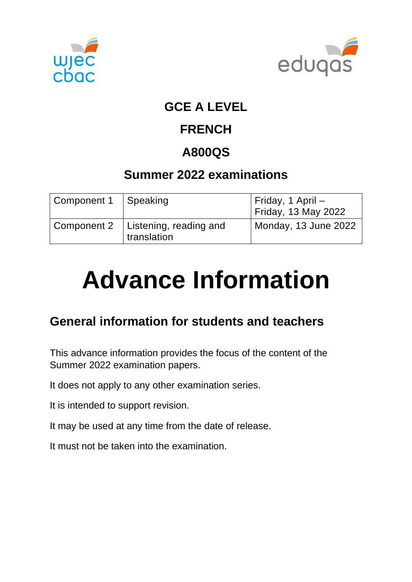



### **GCE A LEVEL**

### **FRENCH**

## **A800QS**

### **Summer 2022 examinations**

| Component 1 | Speaking                              | Friday, 1 April -<br>Friday, 13 May 2022 |
|-------------|---------------------------------------|------------------------------------------|
| Component 2 | Listening, reading and<br>translation | Monday, 13 June 2022                     |

# **Advance Information**

### **General information for students and teachers**

This advance information provides the focus of the content of the Summer 2022 examination papers.

It does not apply to any other examination series.

It is intended to support revision.

It may be used at any time from the date of release.

It must not be taken into the examination.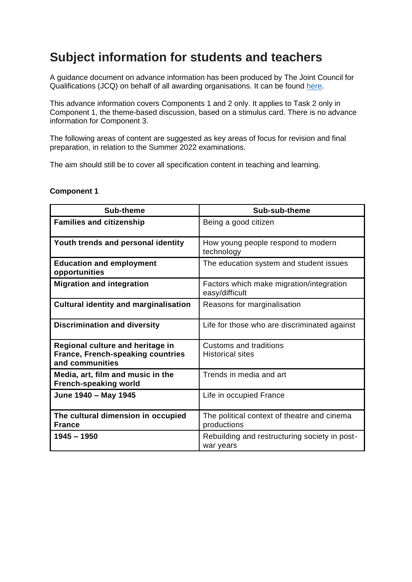### **Subject information for students and teachers**

A guidance document on advance information has been produced by The Joint Council for Qualifications (JCQ) on behalf of all awarding organisations. It can be found [here.](https://www.jcq.org.uk/wp-content/uploads/2021/10/Advance-Information-for-General-Qualifications-2021-22.pdf)

This advance information covers Components 1 and 2 only. It applies to Task 2 only in Component 1, the theme-based discussion, based on a stimulus card. There is no advance information for Component 3.

The following areas of content are suggested as key areas of focus for revision and final preparation, in relation to the Summer 2022 examinations.

The aim should still be to cover all specification content in teaching and learning.

#### **Component 1**

| <b>Sub-theme</b>                                                                                | Sub-sub-theme                                              |
|-------------------------------------------------------------------------------------------------|------------------------------------------------------------|
| <b>Families and citizenship</b>                                                                 | Being a good citizen                                       |
| Youth trends and personal identity                                                              | How young people respond to modern<br>technology           |
| <b>Education and employment</b><br>opportunities                                                | The education system and student issues                    |
| <b>Migration and integration</b>                                                                | Factors which make migration/integration<br>easy/difficult |
| <b>Cultural identity and marginalisation</b>                                                    | Reasons for marginalisation                                |
| <b>Discrimination and diversity</b>                                                             | Life for those who are discriminated against               |
| Regional culture and heritage in<br><b>France, French-speaking countries</b><br>and communities | <b>Customs and traditions</b><br><b>Historical sites</b>   |
| Media, art, film and music in the<br><b>French-speaking world</b>                               | Trends in media and art                                    |
| June 1940 - May 1945                                                                            | Life in occupied France                                    |
| The cultural dimension in occupied<br><b>France</b>                                             | The political context of theatre and cinema<br>productions |
| $1945 - 1950$                                                                                   | Rebuilding and restructuring society in post-<br>war years |